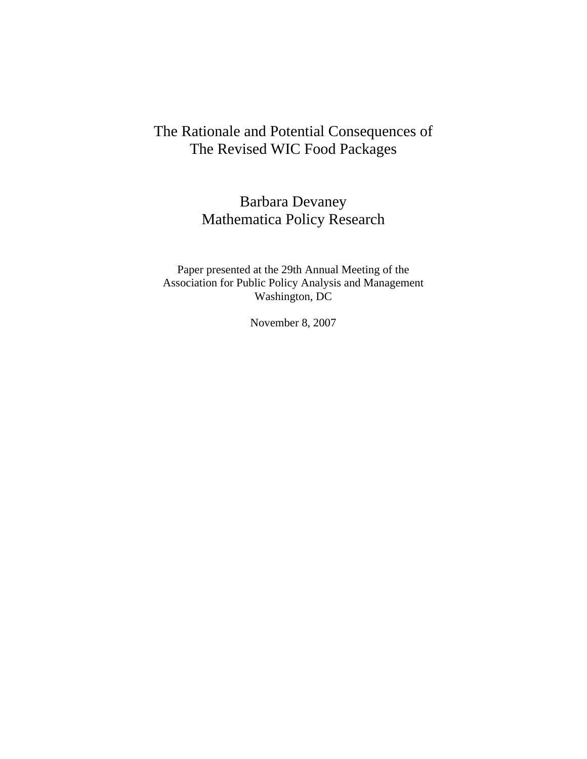# The Rationale and Potential Consequences of The Revised WIC Food Packages

# Barbara Devaney Mathematica Policy Research

Paper presented at the 29th Annual Meeting of the Association for Public Policy Analysis and Management Washington, DC

November 8, 2007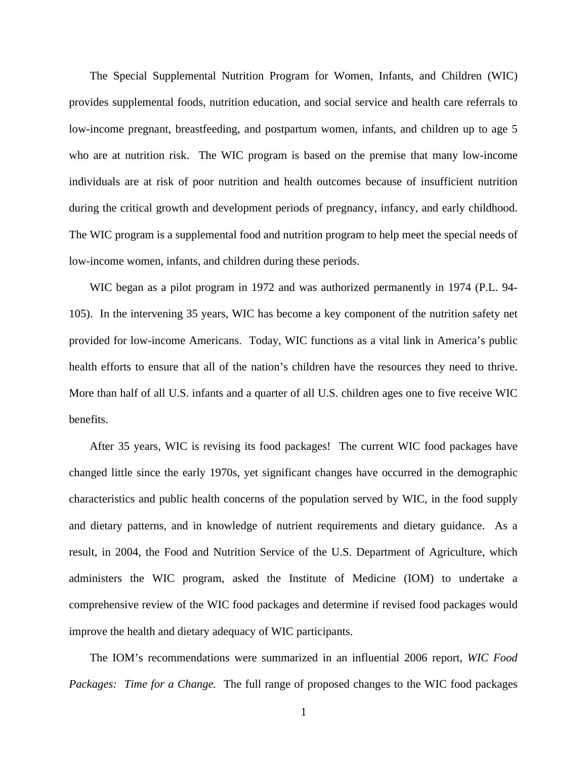The Special Supplemental Nutrition Program for Women, Infants, and Children (WIC) provides supplemental foods, nutrition education, and social service and health care referrals to low-income pregnant, breastfeeding, and postpartum women, infants, and children up to age 5 who are at nutrition risk. The WIC program is based on the premise that many low-income individuals are at risk of poor nutrition and health outcomes because of insufficient nutrition during the critical growth and development periods of pregnancy, infancy, and early childhood. The WIC program is a supplemental food and nutrition program to help meet the special needs of low-income women, infants, and children during these periods.

WIC began as a pilot program in 1972 and was authorized permanently in 1974 (P.L. 94- 105). In the intervening 35 years, WIC has become a key component of the nutrition safety net provided for low-income Americans. Today, WIC functions as a vital link in America's public health efforts to ensure that all of the nation's children have the resources they need to thrive. More than half of all U.S. infants and a quarter of all U.S. children ages one to five receive WIC benefits.

After 35 years, WIC is revising its food packages! The current WIC food packages have changed little since the early 1970s, yet significant changes have occurred in the demographic characteristics and public health concerns of the population served by WIC, in the food supply and dietary patterns, and in knowledge of nutrient requirements and dietary guidance. As a result, in 2004, the Food and Nutrition Service of the U.S. Department of Agriculture, which administers the WIC program, asked the Institute of Medicine (IOM) to undertake a comprehensive review of the WIC food packages and determine if revised food packages would improve the health and dietary adequacy of WIC participants.

The IOM's recommendations were summarized in an influential 2006 report, *WIC Food Packages: Time for a Change.* The full range of proposed changes to the WIC food packages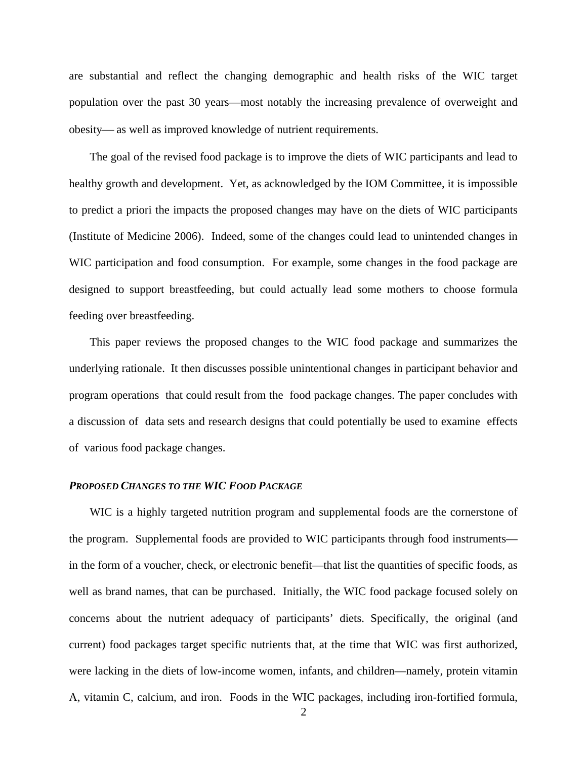are substantial and reflect the changing demographic and health risks of the WIC target population over the past 30 years—most notably the increasing prevalence of overweight and obesity— as well as improved knowledge of nutrient requirements.

The goal of the revised food package is to improve the diets of WIC participants and lead to healthy growth and development. Yet, as acknowledged by the IOM Committee, it is impossible to predict a priori the impacts the proposed changes may have on the diets of WIC participants (Institute of Medicine 2006). Indeed, some of the changes could lead to unintended changes in WIC participation and food consumption. For example, some changes in the food package are designed to support breastfeeding, but could actually lead some mothers to choose formula feeding over breastfeeding.

This paper reviews the proposed changes to the WIC food package and summarizes the underlying rationale. It then discusses possible unintentional changes in participant behavior and program operations that could result from the food package changes. The paper concludes with a discussion of data sets and research designs that could potentially be used to examine effects of various food package changes.

## *PROPOSED CHANGES TO THE WIC FOOD PACKAGE*

WIC is a highly targeted nutrition program and supplemental foods are the cornerstone of the program. Supplemental foods are provided to WIC participants through food instruments in the form of a voucher, check, or electronic benefit—that list the quantities of specific foods, as well as brand names, that can be purchased. Initially, the WIC food package focused solely on concerns about the nutrient adequacy of participants' diets. Specifically, the original (and current) food packages target specific nutrients that, at the time that WIC was first authorized, were lacking in the diets of low-income women, infants, and children—namely, protein vitamin A, vitamin C, calcium, and iron. Foods in the WIC packages, including iron-fortified formula,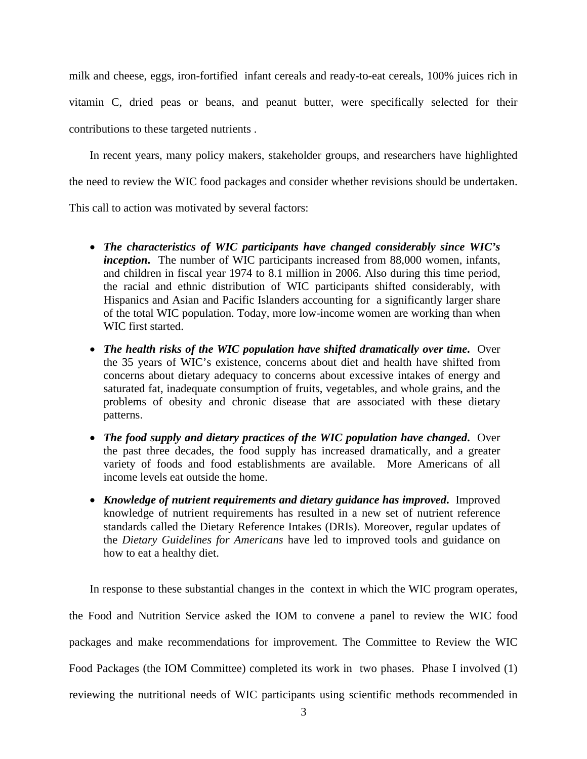milk and cheese, eggs, iron-fortified infant cereals and ready-to-eat cereals, 100% juices rich in vitamin C, dried peas or beans, and peanut butter, were specifically selected for their contributions to these targeted nutrients .

In recent years, many policy makers, stakeholder groups, and researchers have highlighted the need to review the WIC food packages and consider whether revisions should be undertaken.

This call to action was motivated by several factors:

- *The characteristics of WIC participants have changed considerably since WIC's inception***.** The number of WIC participants increased from 88,000 women, infants, and children in fiscal year 1974 to 8.1 million in 2006. Also during this time period, the racial and ethnic distribution of WIC participants shifted considerably, with Hispanics and Asian and Pacific Islanders accounting for a significantly larger share of the total WIC population. Today, more low-income women are working than when WIC first started.
- *The health risks of the WIC population have shifted dramatically over time***.** Over the 35 years of WIC's existence, concerns about diet and health have shifted from concerns about dietary adequacy to concerns about excessive intakes of energy and saturated fat, inadequate consumption of fruits, vegetables, and whole grains, and the problems of obesity and chronic disease that are associated with these dietary patterns.
- *The food supply and dietary practices of the WIC population have changed***.** Over the past three decades, the food supply has increased dramatically, and a greater variety of foods and food establishments are available. More Americans of all income levels eat outside the home.
- *Knowledge of nutrient requirements and dietary guidance has improved***.** Improved knowledge of nutrient requirements has resulted in a new set of nutrient reference standards called the Dietary Reference Intakes (DRIs). Moreover, regular updates of the *Dietary Guidelines for Americans* have led to improved tools and guidance on how to eat a healthy diet.

In response to these substantial changes in the context in which the WIC program operates, the Food and Nutrition Service asked the IOM to convene a panel to review the WIC food packages and make recommendations for improvement. The Committee to Review the WIC Food Packages (the IOM Committee) completed its work in two phases. Phase I involved (1) reviewing the nutritional needs of WIC participants using scientific methods recommended in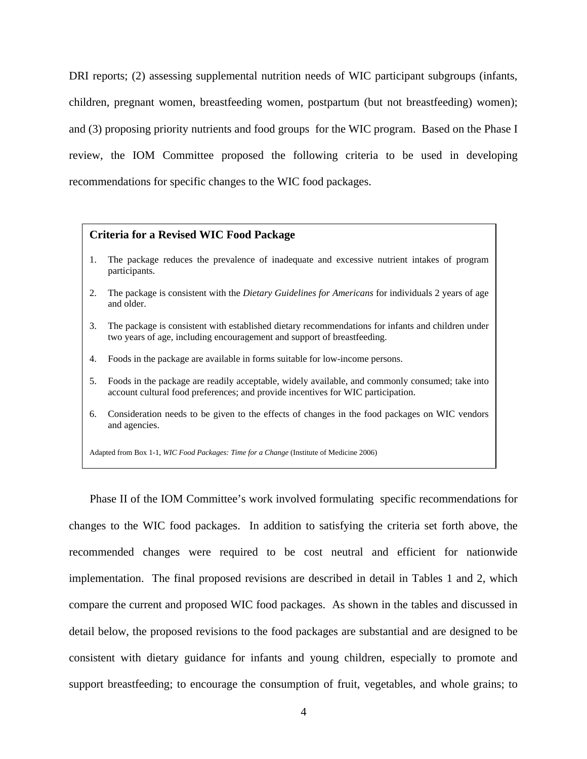DRI reports; (2) assessing supplemental nutrition needs of WIC participant subgroups (infants, children, pregnant women, breastfeeding women, postpartum (but not breastfeeding) women); and (3) proposing priority nutrients and food groups for the WIC program. Based on the Phase I review, the IOM Committee proposed the following criteria to be used in developing recommendations for specific changes to the WIC food packages.

## **Criteria for a Revised WIC Food Package**

- 1. The package reduces the prevalence of inadequate and excessive nutrient intakes of program participants.
- 2. The package is consistent with the *Dietary Guidelines for Americans* for individuals 2 years of age and older.
- 3. The package is consistent with established dietary recommendations for infants and children under two years of age, including encouragement and support of breastfeeding.
- 4. Foods in the package are available in forms suitable for low-income persons.
- 5. Foods in the package are readily acceptable, widely available, and commonly consumed; take into account cultural food preferences; and provide incentives for WIC participation.
- 6. Consideration needs to be given to the effects of changes in the food packages on WIC vendors and agencies.

Adapted from Box 1-1, *WIC Food Packages: Time for a Change* (Institute of Medicine 2006)

Phase II of the IOM Committee's work involved formulating specific recommendations for changes to the WIC food packages. In addition to satisfying the criteria set forth above, the recommended changes were required to be cost neutral and efficient for nationwide implementation. The final proposed revisions are described in detail in Tables 1 and 2, which compare the current and proposed WIC food packages. As shown in the tables and discussed in detail below, the proposed revisions to the food packages are substantial and are designed to be consistent with dietary guidance for infants and young children, especially to promote and support breastfeeding; to encourage the consumption of fruit, vegetables, and whole grains; to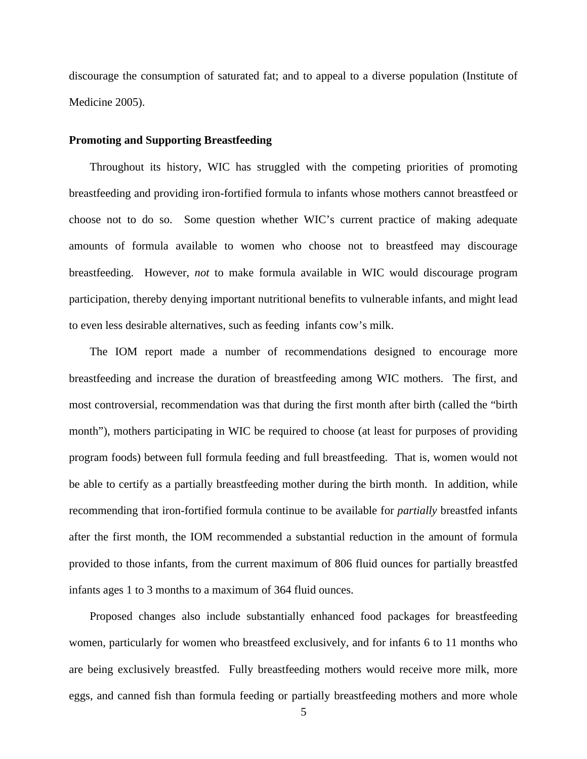discourage the consumption of saturated fat; and to appeal to a diverse population (Institute of Medicine 2005).

#### **Promoting and Supporting Breastfeeding**

Throughout its history, WIC has struggled with the competing priorities of promoting breastfeeding and providing iron-fortified formula to infants whose mothers cannot breastfeed or choose not to do so. Some question whether WIC's current practice of making adequate amounts of formula available to women who choose not to breastfeed may discourage breastfeeding. However, *not* to make formula available in WIC would discourage program participation, thereby denying important nutritional benefits to vulnerable infants, and might lead to even less desirable alternatives, such as feeding infants cow's milk.

The IOM report made a number of recommendations designed to encourage more breastfeeding and increase the duration of breastfeeding among WIC mothers. The first, and most controversial, recommendation was that during the first month after birth (called the "birth month"), mothers participating in WIC be required to choose (at least for purposes of providing program foods) between full formula feeding and full breastfeeding. That is, women would not be able to certify as a partially breastfeeding mother during the birth month. In addition, while recommending that iron-fortified formula continue to be available for *partially* breastfed infants after the first month, the IOM recommended a substantial reduction in the amount of formula provided to those infants, from the current maximum of 806 fluid ounces for partially breastfed infants ages 1 to 3 months to a maximum of 364 fluid ounces.

Proposed changes also include substantially enhanced food packages for breastfeeding women, particularly for women who breastfeed exclusively, and for infants 6 to 11 months who are being exclusively breastfed. Fully breastfeeding mothers would receive more milk, more eggs, and canned fish than formula feeding or partially breastfeeding mothers and more whole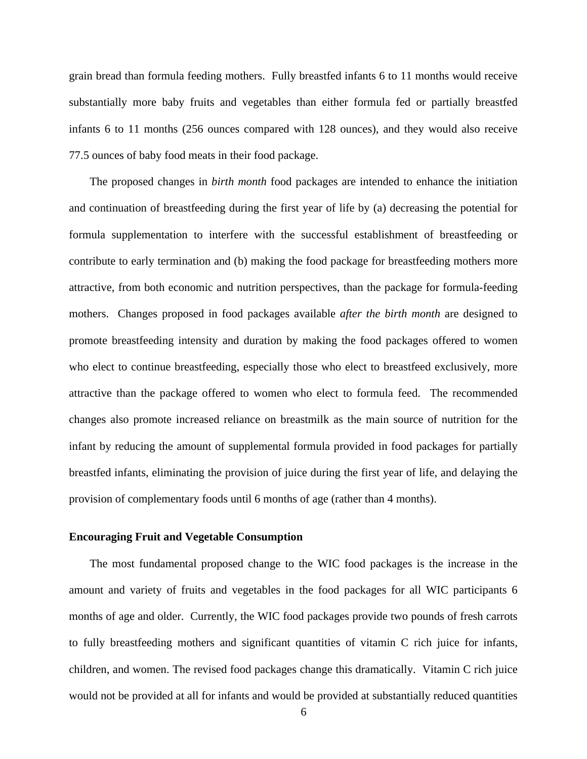grain bread than formula feeding mothers. Fully breastfed infants 6 to 11 months would receive substantially more baby fruits and vegetables than either formula fed or partially breastfed infants 6 to 11 months (256 ounces compared with 128 ounces), and they would also receive 77.5 ounces of baby food meats in their food package.

The proposed changes in *birth month* food packages are intended to enhance the initiation and continuation of breastfeeding during the first year of life by (a) decreasing the potential for formula supplementation to interfere with the successful establishment of breastfeeding or contribute to early termination and (b) making the food package for breastfeeding mothers more attractive, from both economic and nutrition perspectives, than the package for formula-feeding mothers. Changes proposed in food packages available *after the birth month* are designed to promote breastfeeding intensity and duration by making the food packages offered to women who elect to continue breastfeeding, especially those who elect to breastfeed exclusively, more attractive than the package offered to women who elect to formula feed. The recommended changes also promote increased reliance on breastmilk as the main source of nutrition for the infant by reducing the amount of supplemental formula provided in food packages for partially breastfed infants, eliminating the provision of juice during the first year of life, and delaying the provision of complementary foods until 6 months of age (rather than 4 months).

## **Encouraging Fruit and Vegetable Consumption**

The most fundamental proposed change to the WIC food packages is the increase in the amount and variety of fruits and vegetables in the food packages for all WIC participants 6 months of age and older. Currently, the WIC food packages provide two pounds of fresh carrots to fully breastfeeding mothers and significant quantities of vitamin C rich juice for infants, children, and women. The revised food packages change this dramatically. Vitamin C rich juice would not be provided at all for infants and would be provided at substantially reduced quantities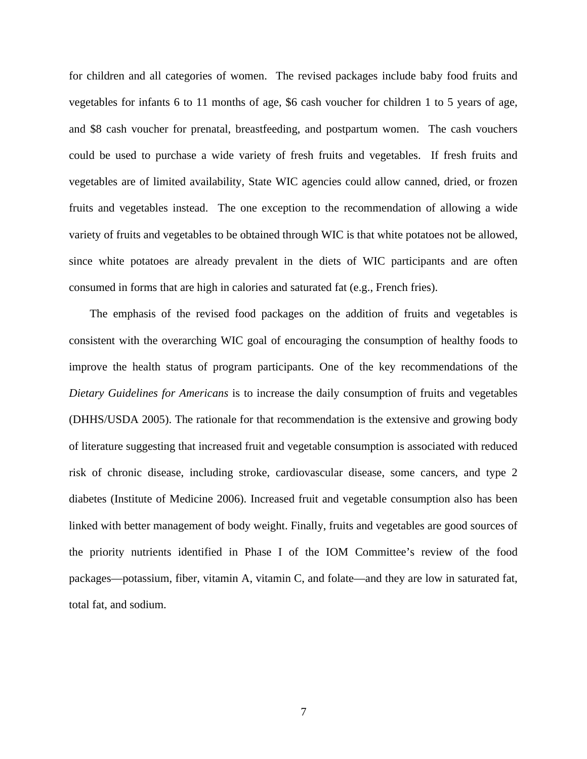for children and all categories of women. The revised packages include baby food fruits and vegetables for infants 6 to 11 months of age, \$6 cash voucher for children 1 to 5 years of age, and \$8 cash voucher for prenatal, breastfeeding, and postpartum women. The cash vouchers could be used to purchase a wide variety of fresh fruits and vegetables. If fresh fruits and vegetables are of limited availability, State WIC agencies could allow canned, dried, or frozen fruits and vegetables instead. The one exception to the recommendation of allowing a wide variety of fruits and vegetables to be obtained through WIC is that white potatoes not be allowed, since white potatoes are already prevalent in the diets of WIC participants and are often consumed in forms that are high in calories and saturated fat (e.g., French fries).

The emphasis of the revised food packages on the addition of fruits and vegetables is consistent with the overarching WIC goal of encouraging the consumption of healthy foods to improve the health status of program participants. One of the key recommendations of the *Dietary Guidelines for Americans* is to increase the daily consumption of fruits and vegetables (DHHS/USDA 2005). The rationale for that recommendation is the extensive and growing body of literature suggesting that increased fruit and vegetable consumption is associated with reduced risk of chronic disease, including stroke, cardiovascular disease, some cancers, and type 2 diabetes (Institute of Medicine 2006). Increased fruit and vegetable consumption also has been linked with better management of body weight. Finally, fruits and vegetables are good sources of the priority nutrients identified in Phase I of the IOM Committee's review of the food packages—potassium, fiber, vitamin A, vitamin C, and folate—and they are low in saturated fat, total fat, and sodium.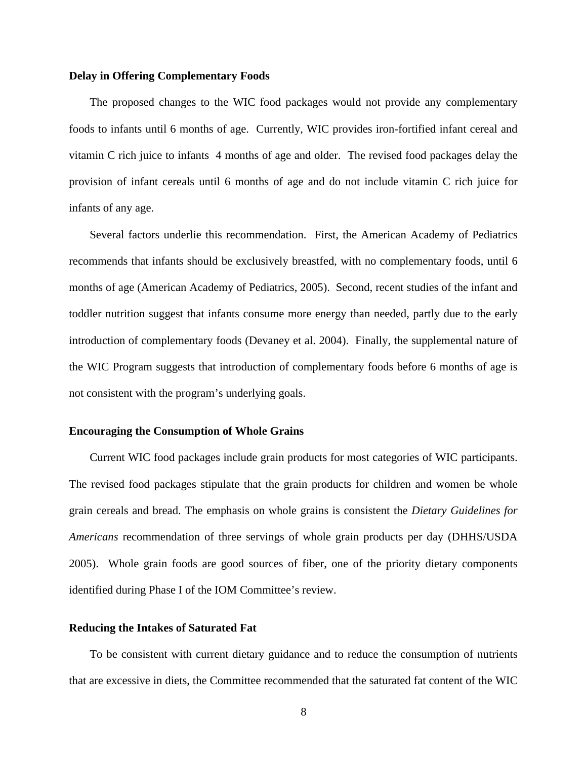## **Delay in Offering Complementary Foods**

The proposed changes to the WIC food packages would not provide any complementary foods to infants until 6 months of age. Currently, WIC provides iron-fortified infant cereal and vitamin C rich juice to infants 4 months of age and older. The revised food packages delay the provision of infant cereals until 6 months of age and do not include vitamin C rich juice for infants of any age.

Several factors underlie this recommendation. First, the American Academy of Pediatrics recommends that infants should be exclusively breastfed, with no complementary foods, until 6 months of age (American Academy of Pediatrics, 2005). Second, recent studies of the infant and toddler nutrition suggest that infants consume more energy than needed, partly due to the early introduction of complementary foods (Devaney et al. 2004). Finally, the supplemental nature of the WIC Program suggests that introduction of complementary foods before 6 months of age is not consistent with the program's underlying goals.

#### **Encouraging the Consumption of Whole Grains**

Current WIC food packages include grain products for most categories of WIC participants. The revised food packages stipulate that the grain products for children and women be whole grain cereals and bread. The emphasis on whole grains is consistent the *Dietary Guidelines for Americans* recommendation of three servings of whole grain products per day (DHHS/USDA 2005). Whole grain foods are good sources of fiber, one of the priority dietary components identified during Phase I of the IOM Committee's review.

## **Reducing the Intakes of Saturated Fat**

To be consistent with current dietary guidance and to reduce the consumption of nutrients that are excessive in diets, the Committee recommended that the saturated fat content of the WIC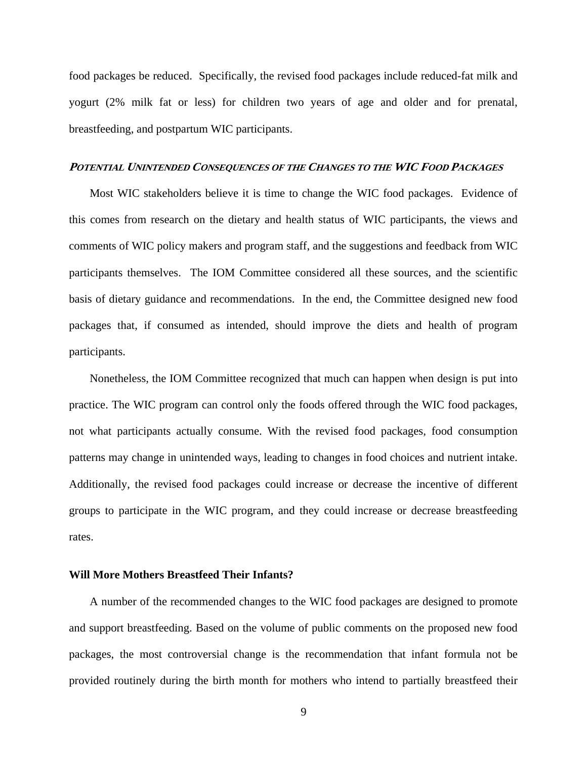food packages be reduced. Specifically, the revised food packages include reduced-fat milk and yogurt (2% milk fat or less) for children two years of age and older and for prenatal, breastfeeding, and postpartum WIC participants.

### **POTENTIAL UNINTENDED CONSEQUENCES OF THE CHANGES TO THE WIC FOOD PACKAGES**

Most WIC stakeholders believe it is time to change the WIC food packages. Evidence of this comes from research on the dietary and health status of WIC participants, the views and comments of WIC policy makers and program staff, and the suggestions and feedback from WIC participants themselves. The IOM Committee considered all these sources, and the scientific basis of dietary guidance and recommendations. In the end, the Committee designed new food packages that, if consumed as intended, should improve the diets and health of program participants.

Nonetheless, the IOM Committee recognized that much can happen when design is put into practice. The WIC program can control only the foods offered through the WIC food packages, not what participants actually consume. With the revised food packages, food consumption patterns may change in unintended ways, leading to changes in food choices and nutrient intake. Additionally, the revised food packages could increase or decrease the incentive of different groups to participate in the WIC program, and they could increase or decrease breastfeeding rates.

#### **Will More Mothers Breastfeed Their Infants?**

A number of the recommended changes to the WIC food packages are designed to promote and support breastfeeding. Based on the volume of public comments on the proposed new food packages, the most controversial change is the recommendation that infant formula not be provided routinely during the birth month for mothers who intend to partially breastfeed their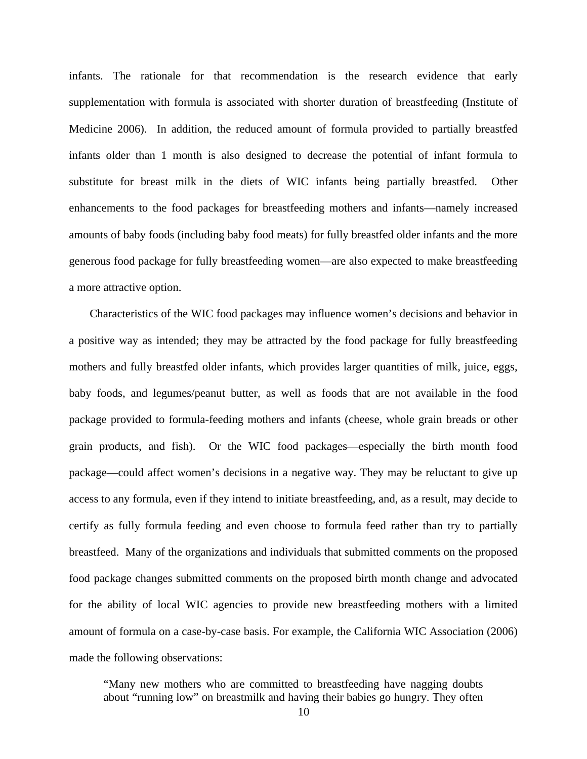infants. The rationale for that recommendation is the research evidence that early supplementation with formula is associated with shorter duration of breastfeeding (Institute of Medicine 2006). In addition, the reduced amount of formula provided to partially breastfed infants older than 1 month is also designed to decrease the potential of infant formula to substitute for breast milk in the diets of WIC infants being partially breastfed. Other enhancements to the food packages for breastfeeding mothers and infants—namely increased amounts of baby foods (including baby food meats) for fully breastfed older infants and the more generous food package for fully breastfeeding women—are also expected to make breastfeeding a more attractive option.

Characteristics of the WIC food packages may influence women's decisions and behavior in a positive way as intended; they may be attracted by the food package for fully breastfeeding mothers and fully breastfed older infants, which provides larger quantities of milk, juice, eggs, baby foods, and legumes/peanut butter, as well as foods that are not available in the food package provided to formula-feeding mothers and infants (cheese, whole grain breads or other grain products, and fish). Or the WIC food packages—especially the birth month food package—could affect women's decisions in a negative way. They may be reluctant to give up access to any formula, even if they intend to initiate breastfeeding, and, as a result, may decide to certify as fully formula feeding and even choose to formula feed rather than try to partially breastfeed. Many of the organizations and individuals that submitted comments on the proposed food package changes submitted comments on the proposed birth month change and advocated for the ability of local WIC agencies to provide new breastfeeding mothers with a limited amount of formula on a case-by-case basis. For example, the California WIC Association (2006) made the following observations:

"Many new mothers who are committed to breastfeeding have nagging doubts about "running low" on breastmilk and having their babies go hungry. They often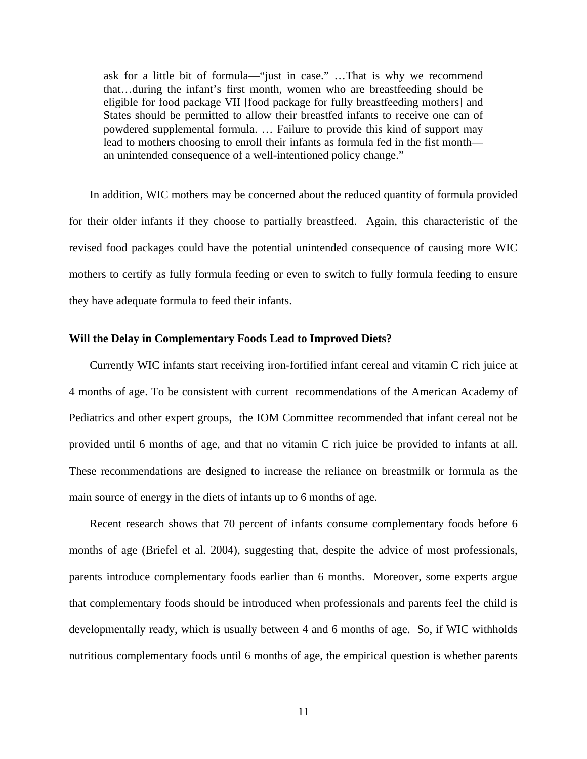ask for a little bit of formula—"just in case." …That is why we recommend that…during the infant's first month, women who are breastfeeding should be eligible for food package VII [food package for fully breastfeeding mothers] and States should be permitted to allow their breastfed infants to receive one can of powdered supplemental formula. … Failure to provide this kind of support may lead to mothers choosing to enroll their infants as formula fed in the fist month an unintended consequence of a well-intentioned policy change."

In addition, WIC mothers may be concerned about the reduced quantity of formula provided for their older infants if they choose to partially breastfeed. Again, this characteristic of the revised food packages could have the potential unintended consequence of causing more WIC mothers to certify as fully formula feeding or even to switch to fully formula feeding to ensure they have adequate formula to feed their infants.

### **Will the Delay in Complementary Foods Lead to Improved Diets?**

Currently WIC infants start receiving iron-fortified infant cereal and vitamin C rich juice at 4 months of age. To be consistent with current recommendations of the American Academy of Pediatrics and other expert groups, the IOM Committee recommended that infant cereal not be provided until 6 months of age, and that no vitamin C rich juice be provided to infants at all. These recommendations are designed to increase the reliance on breastmilk or formula as the main source of energy in the diets of infants up to 6 months of age.

Recent research shows that 70 percent of infants consume complementary foods before 6 months of age (Briefel et al. 2004), suggesting that, despite the advice of most professionals, parents introduce complementary foods earlier than 6 months. Moreover, some experts argue that complementary foods should be introduced when professionals and parents feel the child is developmentally ready, which is usually between 4 and 6 months of age. So, if WIC withholds nutritious complementary foods until 6 months of age, the empirical question is whether parents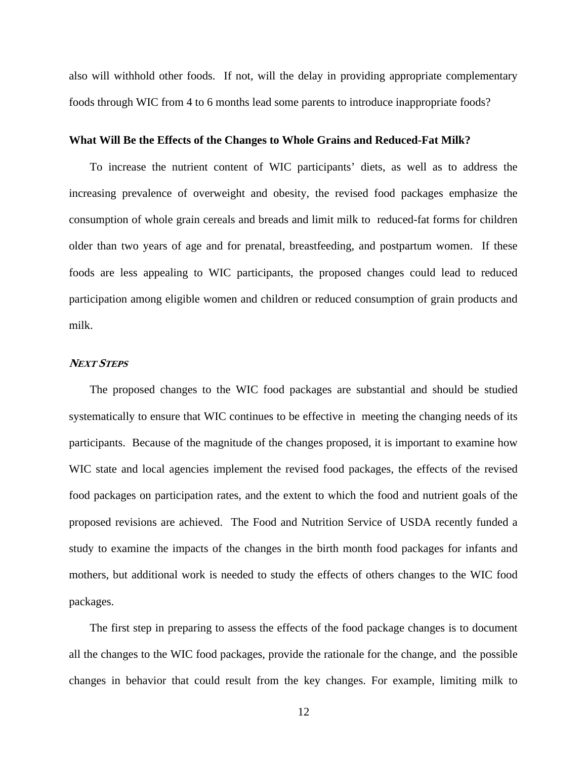also will withhold other foods. If not, will the delay in providing appropriate complementary foods through WIC from 4 to 6 months lead some parents to introduce inappropriate foods?

#### **What Will Be the Effects of the Changes to Whole Grains and Reduced-Fat Milk?**

To increase the nutrient content of WIC participants' diets, as well as to address the increasing prevalence of overweight and obesity, the revised food packages emphasize the consumption of whole grain cereals and breads and limit milk to reduced-fat forms for children older than two years of age and for prenatal, breastfeeding, and postpartum women. If these foods are less appealing to WIC participants, the proposed changes could lead to reduced participation among eligible women and children or reduced consumption of grain products and milk.

## **NEXT STEPS**

The proposed changes to the WIC food packages are substantial and should be studied systematically to ensure that WIC continues to be effective in meeting the changing needs of its participants. Because of the magnitude of the changes proposed, it is important to examine how WIC state and local agencies implement the revised food packages, the effects of the revised food packages on participation rates, and the extent to which the food and nutrient goals of the proposed revisions are achieved. The Food and Nutrition Service of USDA recently funded a study to examine the impacts of the changes in the birth month food packages for infants and mothers, but additional work is needed to study the effects of others changes to the WIC food packages.

The first step in preparing to assess the effects of the food package changes is to document all the changes to the WIC food packages, provide the rationale for the change, and the possible changes in behavior that could result from the key changes. For example, limiting milk to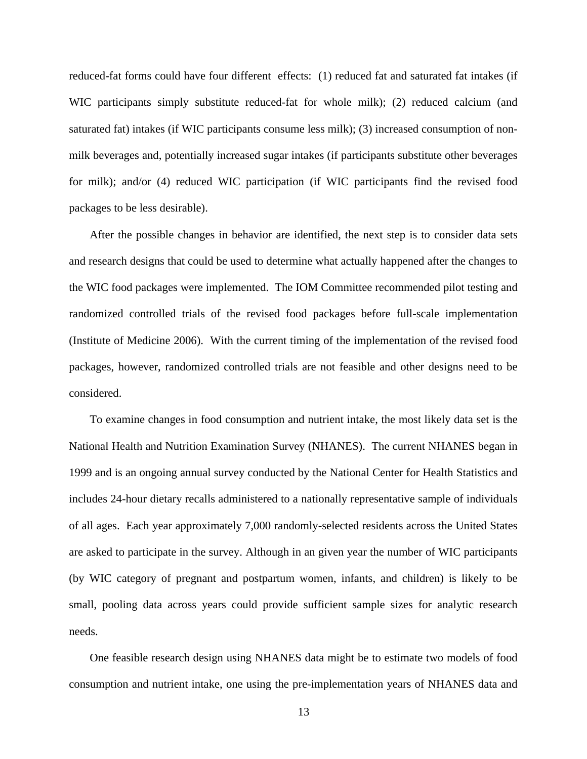reduced-fat forms could have four different effects: (1) reduced fat and saturated fat intakes (if WIC participants simply substitute reduced-fat for whole milk); (2) reduced calcium (and saturated fat) intakes (if WIC participants consume less milk); (3) increased consumption of nonmilk beverages and, potentially increased sugar intakes (if participants substitute other beverages for milk); and/or (4) reduced WIC participation (if WIC participants find the revised food packages to be less desirable).

After the possible changes in behavior are identified, the next step is to consider data sets and research designs that could be used to determine what actually happened after the changes to the WIC food packages were implemented. The IOM Committee recommended pilot testing and randomized controlled trials of the revised food packages before full-scale implementation (Institute of Medicine 2006). With the current timing of the implementation of the revised food packages, however, randomized controlled trials are not feasible and other designs need to be considered.

To examine changes in food consumption and nutrient intake, the most likely data set is the National Health and Nutrition Examination Survey (NHANES). The current NHANES began in 1999 and is an ongoing annual survey conducted by the National Center for Health Statistics and includes 24-hour dietary recalls administered to a nationally representative sample of individuals of all ages. Each year approximately 7,000 randomly-selected residents across the United States are asked to participate in the survey. Although in an given year the number of WIC participants (by WIC category of pregnant and postpartum women, infants, and children) is likely to be small, pooling data across years could provide sufficient sample sizes for analytic research needs.

One feasible research design using NHANES data might be to estimate two models of food consumption and nutrient intake, one using the pre-implementation years of NHANES data and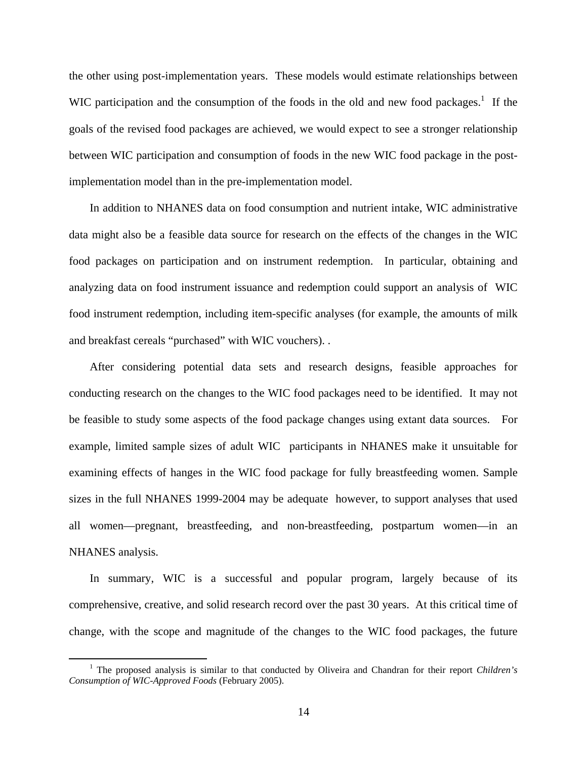the other using post-implementation years. These models would estimate relationships between WIC participation and the consumption of the foods in the old and new food packages.<sup>[1](#page-14-0)</sup> If the goals of the revised food packages are achieved, we would expect to see a stronger relationship between WIC participation and consumption of foods in the new WIC food package in the postimplementation model than in the pre-implementation model.

In addition to NHANES data on food consumption and nutrient intake, WIC administrative data might also be a feasible data source for research on the effects of the changes in the WIC food packages on participation and on instrument redemption. In particular, obtaining and analyzing data on food instrument issuance and redemption could support an analysis of WIC food instrument redemption, including item-specific analyses (for example, the amounts of milk and breakfast cereals "purchased" with WIC vouchers). .

After considering potential data sets and research designs, feasible approaches for conducting research on the changes to the WIC food packages need to be identified. It may not be feasible to study some aspects of the food package changes using extant data sources. For example, limited sample sizes of adult WIC participants in NHANES make it unsuitable for examining effects of hanges in the WIC food package for fully breastfeeding women. Sample sizes in the full NHANES 1999-2004 may be adequate however, to support analyses that used all women—pregnant, breastfeeding, and non-breastfeeding, postpartum women—in an NHANES analysis.

In summary, WIC is a successful and popular program, largely because of its comprehensive, creative, and solid research record over the past 30 years. At this critical time of change, with the scope and magnitude of the changes to the WIC food packages, the future

<span id="page-14-0"></span> $\frac{1}{1}$ <sup>1</sup> The proposed analysis is similar to that conducted by Oliveira and Chandran for their report *Children's Consumption of WIC-Approved Foods* (February 2005).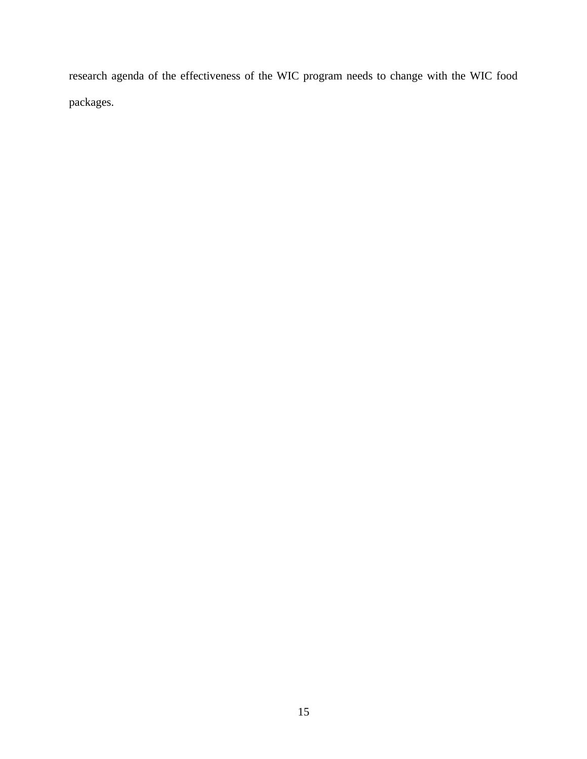research agenda of the effectiveness of the WIC program needs to change with the WIC food packages.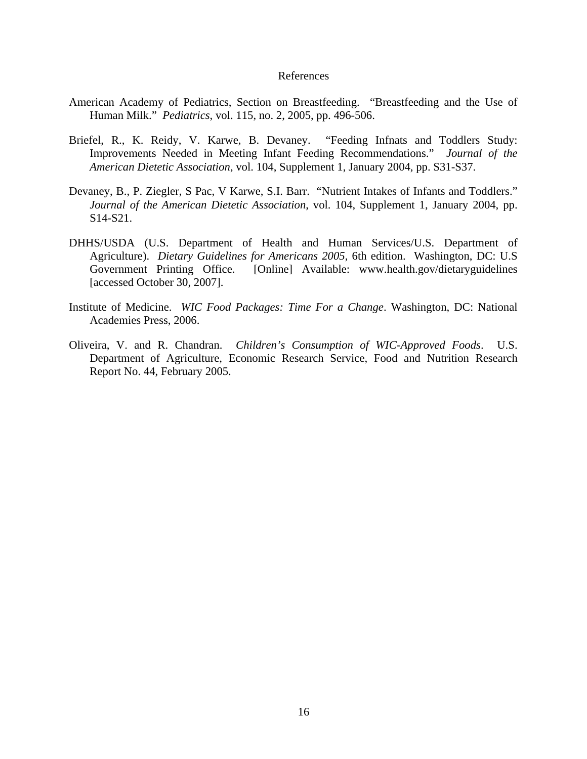#### References

- American Academy of Pediatrics, Section on Breastfeeding. "Breastfeeding and the Use of Human Milk." *Pediatrics*, vol. 115, no. 2, 2005, pp. 496-506.
- Briefel, R., K. Reidy, V. Karwe, B. Devaney. "Feeding Infnats and Toddlers Study: Improvements Needed in Meeting Infant Feeding Recommendations." *Journal of the American Dietetic Association*, vol. 104, Supplement 1, January 2004, pp. S31-S37.
- Devaney, B., P. Ziegler, S Pac, V Karwe, S.I. Barr. "Nutrient Intakes of Infants and Toddlers." *Journal of the American Dietetic Association*, vol. 104, Supplement 1, January 2004, pp. S14-S21.
- DHHS/USDA (U.S. Department of Health and Human Services/U.S. Department of Agriculture). *Dietary Guidelines for Americans 2005*, 6th edition. Washington, DC: U.S Government Printing Office. [Online] Available: www.health.gov/dietaryguidelines [accessed October 30, 2007].
- Institute of Medicine. *WIC Food Packages: Time For a Change*. Washington, DC: National Academies Press, 2006.
- Oliveira, V. and R. Chandran. *Children's Consumption of WIC-Approved Foods*. U.S. Department of Agriculture, Economic Research Service, Food and Nutrition Research Report No. 44, February 2005.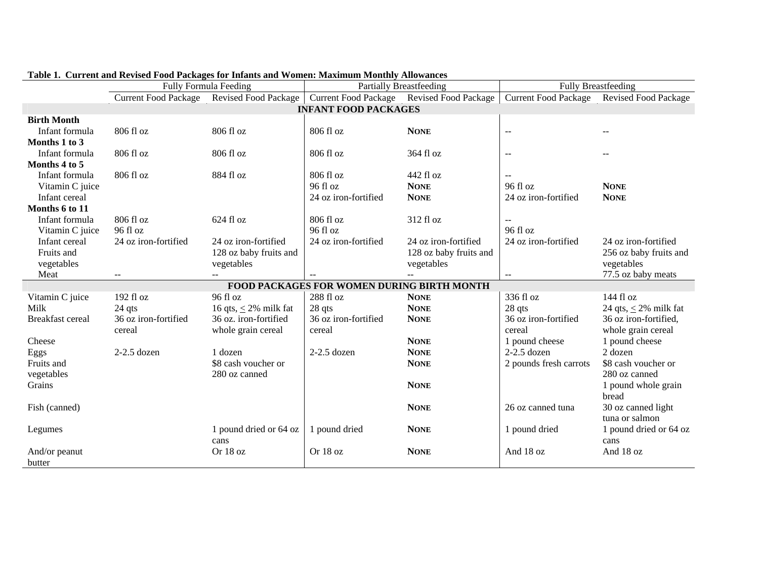|                         | <b>Fully Formula Feeding</b> |                            | <b>Partially Breastfeeding</b>                    |                                           | <b>Fully Breastfeeding</b>                    |                             |  |
|-------------------------|------------------------------|----------------------------|---------------------------------------------------|-------------------------------------------|-----------------------------------------------|-----------------------------|--|
|                         | <b>Current Food Package</b>  | Revised Food Package       |                                                   | Current Food Package Revised Food Package | <b>Current Food Package</b>                   | <b>Revised Food Package</b> |  |
|                         | <b>INFANT FOOD PACKAGES</b>  |                            |                                                   |                                           |                                               |                             |  |
| <b>Birth Month</b>      |                              |                            |                                                   |                                           |                                               |                             |  |
| Infant formula          | 806 fl oz                    | 806 fl oz                  | 806 fl oz                                         | <b>NONE</b>                               | $\overline{a}$                                |                             |  |
| Months 1 to 3           |                              |                            |                                                   |                                           |                                               |                             |  |
| Infant formula          | 806 fl oz                    | 806 fl oz                  | 806 fl oz                                         | 364 fl oz                                 | $\sim$ $\sim$                                 |                             |  |
| Months 4 to 5           |                              |                            |                                                   |                                           |                                               |                             |  |
| Infant formula          | 806 fl oz                    | 884 fl oz                  | 806 fl oz                                         | 442 fl oz                                 | $\mathbf{u}$                                  |                             |  |
| Vitamin C juice         |                              |                            | 96 fl oz                                          | <b>NONE</b>                               | 96 fl oz                                      | <b>NONE</b>                 |  |
| Infant cereal           |                              |                            | 24 oz iron-fortified                              | <b>NONE</b>                               | 24 oz iron-fortified                          | <b>NONE</b>                 |  |
| Months 6 to 11          |                              |                            |                                                   |                                           |                                               |                             |  |
| Infant formula          | 806 fl oz                    | 624 fl oz                  | 806 fl oz                                         | 312 fl oz                                 |                                               |                             |  |
| Vitamin C juice         | 96 fl oz                     |                            | 96 fl oz                                          |                                           | 96 fl oz                                      |                             |  |
| Infant cereal           | 24 oz iron-fortified         | 24 oz iron-fortified       | 24 oz iron-fortified                              | 24 oz iron-fortified                      | 24 oz iron-fortified                          | 24 oz iron-fortified        |  |
| Fruits and              |                              | 128 oz baby fruits and     |                                                   | 128 oz baby fruits and                    |                                               | 256 oz baby fruits and      |  |
| vegetables              |                              | vegetables                 |                                                   | vegetables                                |                                               | vegetables                  |  |
| Meat                    | $\qquad \qquad -$            | ÷÷.                        | $\overline{a}$                                    | $\overline{a}$                            | $\mathord{\hspace{1pt}\text{--}\hspace{1pt}}$ | 77.5 oz baby meats          |  |
|                         |                              |                            | <b>FOOD PACKAGES FOR WOMEN DURING BIRTH MONTH</b> |                                           |                                               |                             |  |
| Vitamin C juice         | 192 fl oz                    | 96 fl oz                   | 288 fl oz                                         | <b>NONE</b>                               | 336 fl oz                                     | 144 fl oz                   |  |
| Milk                    | 24 qts                       | 16 qts, $\leq$ 2% milk fat | 28 qts                                            | <b>NONE</b>                               | 28 qts                                        | 24 qts, $\leq$ 2% milk fat  |  |
| <b>Breakfast</b> cereal | 36 oz iron-fortified         | 36 oz. iron-fortified      | 36 oz iron-fortified                              | <b>NONE</b>                               | 36 oz iron-fortified                          | 36 oz iron-fortified,       |  |
|                         | cereal                       | whole grain cereal         | cereal                                            |                                           | cereal                                        | whole grain cereal          |  |
| Cheese                  |                              |                            |                                                   | <b>NONE</b>                               | 1 pound cheese                                | 1 pound cheese              |  |
| Eggs                    | $2-2.5$ dozen                | 1 dozen                    | $2-2.5$ dozen                                     | <b>NONE</b>                               | $2-2.5$ dozen                                 | $2$ dozen                   |  |
| Fruits and              |                              | \$8 cash voucher or        |                                                   | <b>NONE</b>                               | 2 pounds fresh carrots                        | \$8 cash voucher or         |  |
| vegetables              |                              | 280 oz canned              |                                                   |                                           |                                               | 280 oz canned               |  |
| Grains                  |                              |                            |                                                   | <b>NONE</b>                               |                                               | 1 pound whole grain         |  |
|                         |                              |                            |                                                   |                                           |                                               | bread                       |  |
| Fish (canned)           |                              |                            |                                                   | <b>NONE</b>                               | 26 oz canned tuna                             | 30 oz canned light          |  |
|                         |                              |                            |                                                   |                                           |                                               | tuna or salmon              |  |
| Legumes                 |                              | 1 pound dried or 64 oz     | 1 pound dried                                     | <b>NONE</b>                               | 1 pound dried                                 | 1 pound dried or 64 oz      |  |
|                         |                              | cans                       |                                                   |                                           |                                               | cans                        |  |
| And/or peanut           |                              | Or 18 oz                   | Or 18 oz                                          | <b>NONE</b>                               | And 18 oz                                     | And 18 oz                   |  |
| butter                  |                              |                            |                                                   |                                           |                                               |                             |  |

# **Table 1. Current and Revised Food Packages for Infants and Women: Maximum Monthly Allowances**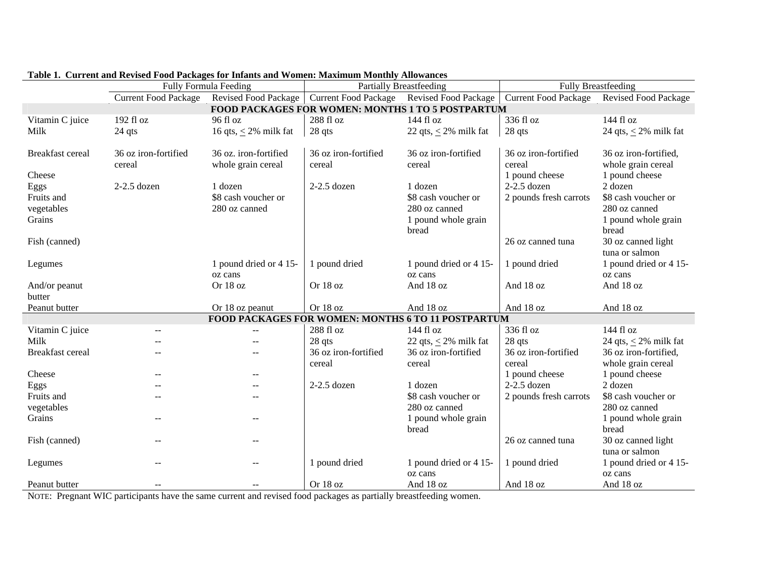|                                                   | Fully Formula Feeding       |                            | <b>Partially Breastfeeding</b> |                                                    | <b>Fully Breastfeeding</b>  |                             |
|---------------------------------------------------|-----------------------------|----------------------------|--------------------------------|----------------------------------------------------|-----------------------------|-----------------------------|
|                                                   | <b>Current Food Package</b> | Revised Food Package       | <b>Current Food Package</b>    | <b>Revised Food Package</b>                        | <b>Current Food Package</b> | <b>Revised Food Package</b> |
| FOOD PACKAGES FOR WOMEN: MONTHS 1 TO 5 POSTPARTUM |                             |                            |                                |                                                    |                             |                             |
| Vitamin C juice                                   | 192 fl oz                   | 96 fl oz                   | 288 fl oz                      | 144 fl oz                                          | 336 fl oz                   | 144 fl oz                   |
| Milk                                              | 24 qts                      | 16 qts, $\leq$ 2% milk fat | 28 qts                         | 22 qts, $\leq$ 2% milk fat                         | 28 qts                      | 24 qts, $\leq$ 2% milk fat  |
|                                                   |                             |                            |                                |                                                    |                             |                             |
| <b>Breakfast</b> cereal                           | 36 oz iron-fortified        | 36 oz. iron-fortified      | 36 oz iron-fortified           | 36 oz iron-fortified                               | 36 oz iron-fortified        | 36 oz iron-fortified,       |
|                                                   | cereal                      | whole grain cereal         | cereal                         | cereal                                             | cereal                      | whole grain cereal          |
| Cheese                                            |                             |                            |                                |                                                    | 1 pound cheese              | 1 pound cheese              |
| Eggs                                              | $2-2.5$ dozen               | 1 dozen                    | $2-2.5$ dozen                  | 1 dozen                                            | $2-2.5$ dozen               | 2 dozen                     |
| Fruits and                                        |                             | \$8 cash voucher or        |                                | \$8 cash voucher or                                | 2 pounds fresh carrots      | \$8 cash voucher or         |
| vegetables                                        |                             | 280 oz canned              |                                | 280 oz canned                                      |                             | 280 oz canned               |
| Grains                                            |                             |                            |                                | 1 pound whole grain                                |                             | 1 pound whole grain         |
|                                                   |                             |                            |                                | bread                                              |                             | bread                       |
| Fish (canned)                                     |                             |                            |                                |                                                    | 26 oz canned tuna           | 30 oz canned light          |
|                                                   |                             |                            |                                |                                                    |                             | tuna or salmon              |
| Legumes                                           |                             | 1 pound dried or 4 15-     | 1 pound dried                  | 1 pound dried or 4 15-                             | 1 pound dried               | 1 pound dried or 4 15-      |
|                                                   |                             | oz cans                    |                                | oz cans                                            |                             | oz cans                     |
| And/or peanut                                     |                             | Or 18 oz                   | Or 18 oz                       | And 18 oz                                          | And 18 oz                   | And 18 oz                   |
| butter                                            |                             |                            |                                |                                                    |                             |                             |
| Peanut butter                                     |                             | Or 18 oz peanut            | Or 18 oz                       | And 18 oz                                          | And 18 oz                   | And 18 oz                   |
|                                                   |                             |                            |                                | FOOD PACKAGES FOR WOMEN: MONTHS 6 TO 11 POSTPARTUM |                             |                             |
| Vitamin C juice                                   |                             |                            | 288 fl oz                      | 144 fl oz                                          | 336 fl oz                   | 144 fl oz                   |
| Milk                                              |                             |                            | 28 qts                         | 22 qts, $\leq$ 2% milk fat                         | 28 qts                      | 24 qts, $\leq$ 2% milk fat  |
| <b>Breakfast</b> cereal                           |                             |                            | 36 oz iron-fortified           | 36 oz iron-fortified                               | 36 oz iron-fortified        | 36 oz iron-fortified,       |
|                                                   |                             |                            | cereal                         | cereal                                             | cereal                      | whole grain cereal          |
| Cheese                                            |                             |                            |                                |                                                    | 1 pound cheese              | 1 pound cheese              |
| Eggs                                              |                             |                            | $2-2.5$ dozen                  | 1 dozen                                            | $2-2.5$ dozen               | 2 dozen                     |
| Fruits and                                        |                             |                            |                                | \$8 cash voucher or                                | 2 pounds fresh carrots      | \$8 cash voucher or         |
| vegetables                                        |                             |                            |                                | 280 oz canned                                      |                             | 280 oz canned               |
| Grains                                            |                             |                            |                                | 1 pound whole grain                                |                             | 1 pound whole grain         |
|                                                   |                             |                            |                                | bread                                              |                             | bread                       |
| Fish (canned)                                     |                             |                            |                                |                                                    | 26 oz canned tuna           | 30 oz canned light          |
|                                                   |                             |                            |                                |                                                    |                             | tuna or salmon              |
| Legumes                                           |                             |                            | 1 pound dried                  | 1 pound dried or 4 15-                             | 1 pound dried               | 1 pound dried or 4 15-      |
|                                                   |                             |                            |                                | oz cans                                            |                             | oz cans                     |
| Peanut butter                                     | $-$                         |                            | Or 18 oz                       | And 18 oz                                          | And 18 oz                   | And 18 oz                   |

### **Table 1. Current and Revised Food Packages for Infants and Women: Maximum Monthly Allowances**

NOTE: Pregnant WIC participants have the same current and revised food packages as partially breastfeeding women.